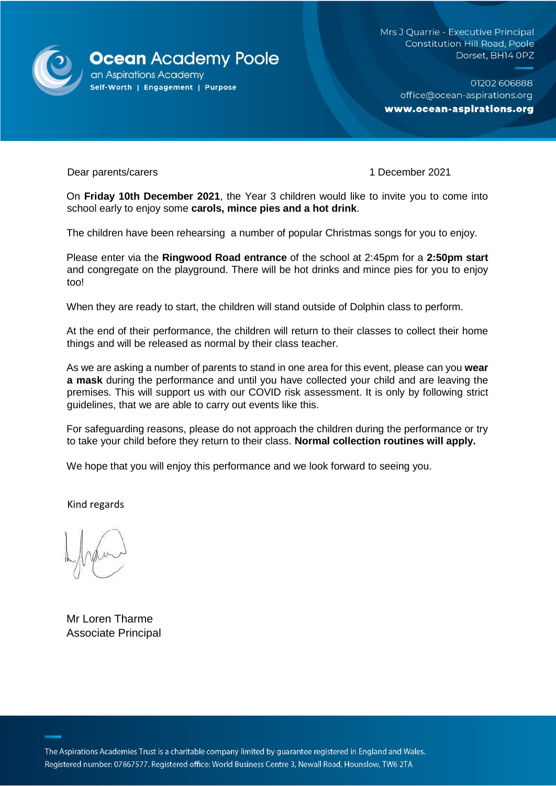

Mrs J Quarrie - Executive Principal **Constitution Hill Road, Poole** Dorset, BH14 OPZ

01202 606888 office@ocean-aspirations.org www.ocean-aspirations.org

Dear parents/carers 1 December 2021

On **Friday 10th December 2021**, the Year 3 children would like to invite you to come into school early to enjoy some **carols, mince pies and a hot drink**.

The children have been rehearsing a number of popular Christmas songs for you to enjoy.

Please enter via the **Ringwood Road entrance** of the school at 2:45pm for a **2:50pm start**  and congregate on the playground. There will be hot drinks and mince pies for you to enjoy too!

When they are ready to start, the children will stand outside of Dolphin class to perform.

At the end of their performance, the children will return to their classes to collect their home things and will be released as normal by their class teacher.

As we are asking a number of parents to stand in one area for this event, please can you **wear a mask** during the performance and until you have collected your child and are leaving the premises. This will support us with our COVID risk assessment. It is only by following strict guidelines, that we are able to carry out events like this.

For safeguarding reasons, please do not approach the children during the performance or try to take your child before they return to their class. **Normal collection routines will apply.**

We hope that you will enjoy this performance and we look forward to seeing you.

Kind regards

Mr Loren Tharme Associate Principal

The Aspirations Academies Trust is a charitable company limited by guarantee registered in England and Wales. Registered number: 07867577. Registered office: World Business Centre 3, Newall Road, Hounslow, TW6 2TA